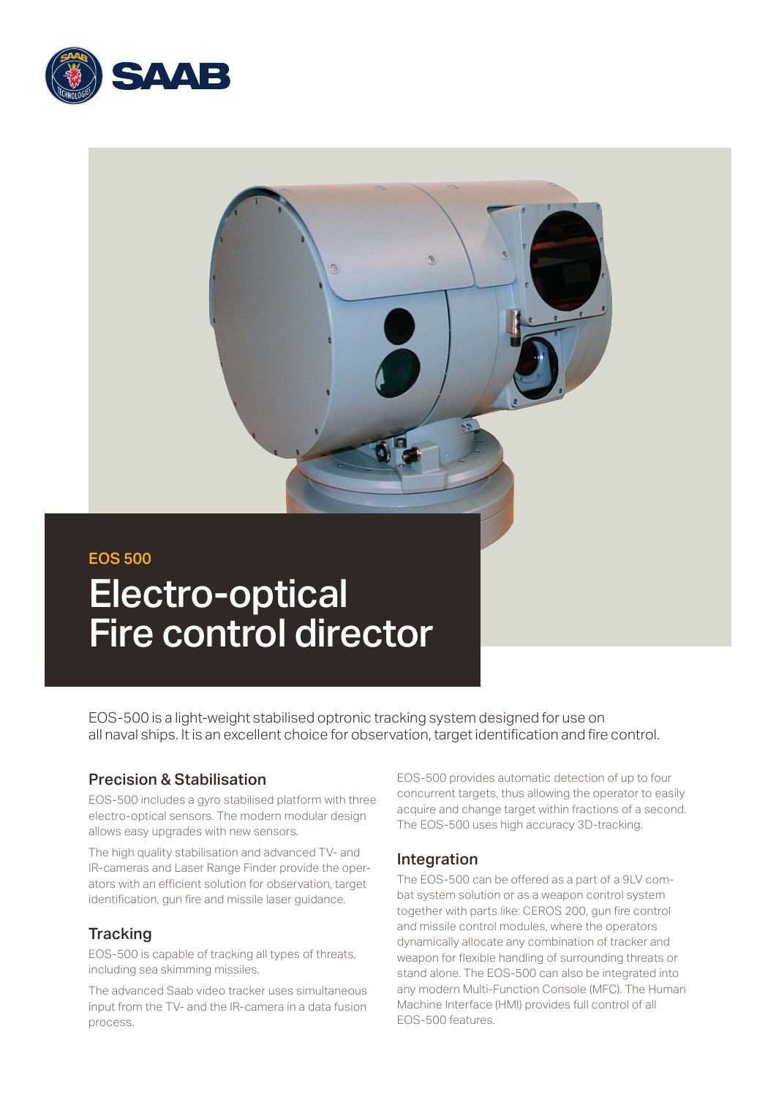

# EOS 500 Electro-optical Fire control director

EOS-500 is a light-weight stabilised optronic tracking system designed for use on all naval ships. It is an excellent choice for observation, target identification and fire control.

## Precision & Stabilisation

EOS-500 includes a gyro stabilised platform with three electro-optical sensors. The modern modular design allows easy upgrades with new sensors.

The high quality stabilisation and advanced TV- and IR-cameras and Laser Range Finder provide the operators with an efficient solution for observation, target identification, gun fire and missile laser guidance.

## **Tracking**

EOS-500 is capable of tracking all types of threats, including sea skimming missiles.

The advanced Saab video tracker uses simultaneous input from the TV- and the IR-camera in a data fusion process.

EOS-500 provides automatic detection of up to four concurrent targets, thus allowing the operator to easily acquire and change target within fractions of a second. The EOS-500 uses high accuracy 3D-tracking.

## Integration

The EOS-500 can be offered as a part of a 9LV combat system solution or as a weapon control system together with parts like: CEROS 200, gun fire control and missile control modules, where the operators dynamically allocate any combination of tracker and weapon for flexible handling of surrounding threats or stand alone. The EOS-500 can also be integrated into any modern Multi-Function Console (MFC). The Human Machine Interface (HMI) provides full control of all EOS-500 features.